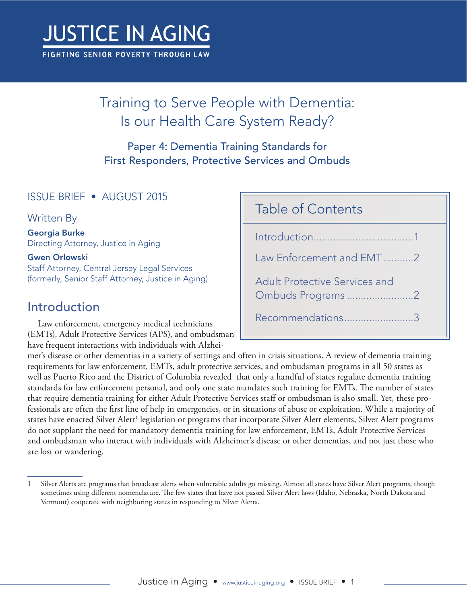# **JUSTICE IN AGING**

FIGHTING SENIOR POVERTY THROUGH LAW

## Training to Serve People with Dementia: Is our Health Care System Ready?

Paper 4: Dementia Training Standards for First Responders, Protective Services and Ombuds

#### ISSUE BRIEF • AUGUST 2015

Written By

Georgia Burke Directing Attorney, Justice in Aging

#### Gwen Orlowski

Staff Attorney, Central Jersey Legal Services (formerly, Senior Staff Attorney, Justice in Aging)

#### Introduction

Law enforcement, emergency medical technicians (EMTs), Adult Protective Services (APS), and ombudsman have frequent interactions with individuals with Alzhei-

#### Table of Contents

Introduction....................................1 [Law Enforcement and EMT...........2](#page-1-0) [Adult Protective Services and](#page-1-0)  [Ombuds Programs](#page-1-0) ........................2 [Recommendations.........................3](#page-2-0)

mer's disease or other dementias in a variety of settings and often in crisis situations. A review of dementia training requirements for law enforcement, EMTs, adult protective services, and ombudsman programs in all 50 states as well as Puerto Rico and the District of Columbia revealed that only a handful of states regulate dementia training standards for law enforcement personal, and only one state mandates such training for EMTs. The number of states that require dementia training for either Adult Protective Services staff or ombudsman is also small. Yet, these professionals are often the first line of help in emergencies, or in situations of abuse or exploitation. While a majority of states have enacted Silver Alert<sup>1</sup> legislation or programs that incorporate Silver Alert elements, Silver Alert programs do not supplant the need for mandatory dementia training for law enforcement, EMTs, Adult Protective Services and ombudsman who interact with individuals with Alzheimer's disease or other dementias, and not just those who are lost or wandering.

<sup>1</sup> Silver Alerts are programs that broadcast alerts when vulnerable adults go missing. Almost all states have Silver Alert programs, though sometimes using different nomenclature. The few states that have not passed Silver Alert laws (Idaho, Nebraska, North Dakota and Vermont) cooperate with neighboring states in responding to Silver Alerts.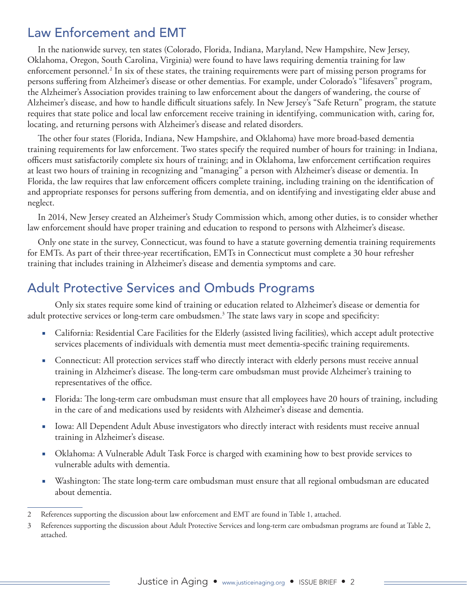#### <span id="page-1-0"></span>Law Enforcement and EMT

In the nationwide survey, ten states (Colorado, Florida, Indiana, Maryland, New Hampshire, New Jersey, Oklahoma, Oregon, South Carolina, Virginia) were found to have laws requiring dementia training for law enforcement personnel.2 In six of these states, the training requirements were part of missing person programs for persons suffering from Alzheimer's disease or other dementias. For example, under Colorado's "lifesavers" program, the Alzheimer's Association provides training to law enforcement about the dangers of wandering, the course of Alzheimer's disease, and how to handle difficult situations safely. In New Jersey's "Safe Return" program, the statute requires that state police and local law enforcement receive training in identifying, communication with, caring for, locating, and returning persons with Alzheimer's disease and related disorders.

The other four states (Florida, Indiana, New Hampshire, and Oklahoma) have more broad-based dementia training requirements for law enforcement. Two states specify the required number of hours for training: in Indiana, officers must satisfactorily complete six hours of training; and in Oklahoma, law enforcement certification requires at least two hours of training in recognizing and "managing" a person with Alzheimer's disease or dementia. In Florida, the law requires that law enforcement officers complete training, including training on the identification of and appropriate responses for persons suffering from dementia, and on identifying and investigating elder abuse and neglect.

In 2014, New Jersey created an Alzheimer's Study Commission which, among other duties, is to consider whether law enforcement should have proper training and education to respond to persons with Alzheimer's disease.

Only one state in the survey, Connecticut, was found to have a statute governing dementia training requirements for EMTs. As part of their three-year recertification, EMTs in Connecticut must complete a 30 hour refresher training that includes training in Alzheimer's disease and dementia symptoms and care.

#### Adult Protective Services and Ombuds Programs

Only six states require some kind of training or education related to Alzheimer's disease or dementia for adult protective services or long-term care ombudsmen.3 The state laws vary in scope and specificity:

- California: Residential Care Facilities for the Elderly (assisted living facilities), which accept adult protective services placements of individuals with dementia must meet dementia-specific training requirements.
- Connecticut: All protection services staff who directly interact with elderly persons must receive annual training in Alzheimer's disease. The long-term care ombudsman must provide Alzheimer's training to representatives of the office.
- Florida: The long-term care ombudsman must ensure that all employees have 20 hours of training, including in the care of and medications used by residents with Alzheimer's disease and dementia.
- Iowa: All Dependent Adult Abuse investigators who directly interact with residents must receive annual training in Alzheimer's disease.
- Oklahoma: A Vulnerable Adult Task Force is charged with examining how to best provide services to vulnerable adults with dementia.
- Washington: The state long-term care ombudsman must ensure that all regional ombudsman are educated about dementia.

<sup>2</sup> References supporting the discussion about law enforcement and EMT are found in Table 1, attached.

<sup>3</sup> References supporting the discussion about Adult Protective Services and long-term care ombudsman programs are found at Table 2, attached.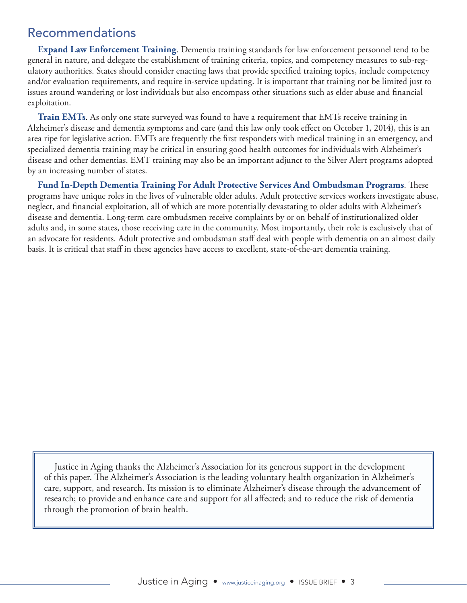#### <span id="page-2-0"></span>Recommendations

**Expand Law Enforcement Training**. Dementia training standards for law enforcement personnel tend to be general in nature, and delegate the establishment of training criteria, topics, and competency measures to sub-regulatory authorities. States should consider enacting laws that provide specified training topics, include competency and/or evaluation requirements, and require in-service updating. It is important that training not be limited just to issues around wandering or lost individuals but also encompass other situations such as elder abuse and financial exploitation.

**Train EMTs**. As only one state surveyed was found to have a requirement that EMTs receive training in Alzheimer's disease and dementia symptoms and care (and this law only took effect on October 1, 2014), this is an area ripe for legislative action. EMTs are frequently the first responders with medical training in an emergency, and specialized dementia training may be critical in ensuring good health outcomes for individuals with Alzheimer's disease and other dementias. EMT training may also be an important adjunct to the Silver Alert programs adopted by an increasing number of states.

**Fund In-Depth Dementia Training For Adult Protective Services And Ombudsman Programs**. These programs have unique roles in the lives of vulnerable older adults. Adult protective services workers investigate abuse, neglect, and financial exploitation, all of which are more potentially devastating to older adults with Alzheimer's disease and dementia. Long-term care ombudsmen receive complaints by or on behalf of institutionalized older adults and, in some states, those receiving care in the community. Most importantly, their role is exclusively that of an advocate for residents. Adult protective and ombudsman staff deal with people with dementia on an almost daily basis. It is critical that staff in these agencies have access to excellent, state-of-the-art dementia training.

Justice in Aging thanks the Alzheimer's Association for its generous support in the development of this paper. The Alzheimer's Association is the leading voluntary health organization in Alzheimer's care, support, and research. Its mission is to eliminate Alzheimer's disease through the advancement of research; to provide and enhance care and support for all affected; and to reduce the risk of dementia through the promotion of brain health.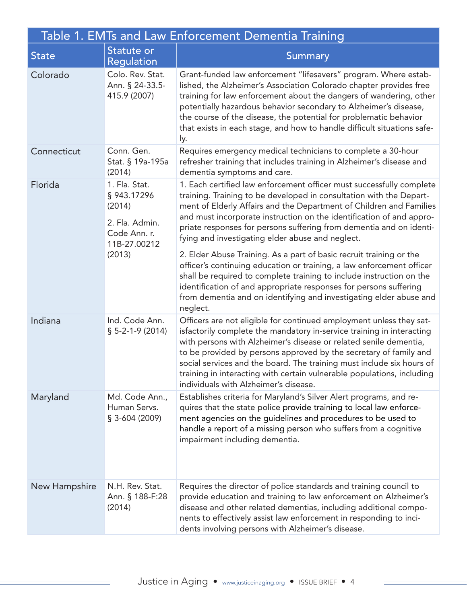| Table 1. EMTs and Law Enforcement Dementia Training |                                                                                                    |                                                                                                                                                                                                                                                                                                                                                                                                                                                                                                                                                                                                                                                                                                                                                                                                      |  |  |
|-----------------------------------------------------|----------------------------------------------------------------------------------------------------|------------------------------------------------------------------------------------------------------------------------------------------------------------------------------------------------------------------------------------------------------------------------------------------------------------------------------------------------------------------------------------------------------------------------------------------------------------------------------------------------------------------------------------------------------------------------------------------------------------------------------------------------------------------------------------------------------------------------------------------------------------------------------------------------------|--|--|
| <b>State</b>                                        | <b>Statute or</b><br>Regulation                                                                    | <b>Summary</b>                                                                                                                                                                                                                                                                                                                                                                                                                                                                                                                                                                                                                                                                                                                                                                                       |  |  |
| Colorado                                            | Colo. Rev. Stat.<br>Ann. § 24-33.5-<br>415.9 (2007)                                                | Grant-funded law enforcement "lifesavers" program. Where estab-<br>lished, the Alzheimer's Association Colorado chapter provides free<br>training for law enforcement about the dangers of wandering, other<br>potentially hazardous behavior secondary to Alzheimer's disease,<br>the course of the disease, the potential for problematic behavior<br>that exists in each stage, and how to handle difficult situations safe-<br>ly.                                                                                                                                                                                                                                                                                                                                                               |  |  |
| Connecticut                                         | Conn. Gen.<br>Stat. § 19a-195a<br>(2014)                                                           | Requires emergency medical technicians to complete a 30-hour<br>refresher training that includes training in Alzheimer's disease and<br>dementia symptoms and care.                                                                                                                                                                                                                                                                                                                                                                                                                                                                                                                                                                                                                                  |  |  |
| Florida                                             | 1. Fla. Stat.<br>§ 943.17296<br>(2014)<br>2. Fla. Admin.<br>Code Ann. r.<br>11B-27.00212<br>(2013) | 1. Each certified law enforcement officer must successfully complete<br>training. Training to be developed in consultation with the Depart-<br>ment of Elderly Affairs and the Department of Children and Families<br>and must incorporate instruction on the identification of and appro-<br>priate responses for persons suffering from dementia and on identi-<br>fying and investigating elder abuse and neglect.<br>2. Elder Abuse Training. As a part of basic recruit training or the<br>officer's continuing education or training, a law enforcement officer<br>shall be required to complete training to include instruction on the<br>identification of and appropriate responses for persons suffering<br>from dementia and on identifying and investigating elder abuse and<br>neglect. |  |  |
| Indiana                                             | Ind. Code Ann.<br>$$5-2-1-9(2014)$                                                                 | Officers are not eligible for continued employment unless they sat-<br>isfactorily complete the mandatory in-service training in interacting<br>with persons with Alzheimer's disease or related senile dementia,<br>to be provided by persons approved by the secretary of family and<br>social services and the board. The training must include six hours of<br>training in interacting with certain vulnerable populations, including<br>individuals with Alzheimer's disease.                                                                                                                                                                                                                                                                                                                   |  |  |
| Maryland                                            | Md. Code Ann.,<br>Human Servs.<br>$$3-604(2009)$                                                   | Establishes criteria for Maryland's Silver Alert programs, and re-<br>quires that the state police provide training to local law enforce-<br>ment agencies on the guidelines and procedures to be used to<br>handle a report of a missing person who suffers from a cognitive<br>impairment including dementia.                                                                                                                                                                                                                                                                                                                                                                                                                                                                                      |  |  |
| New Hampshire                                       | N.H. Rev. Stat.<br>Ann. § 188-F:28<br>(2014)                                                       | Requires the director of police standards and training council to<br>provide education and training to law enforcement on Alzheimer's<br>disease and other related dementias, including additional compo-<br>nents to effectively assist law enforcement in responding to inci-<br>dents involving persons with Alzheimer's disease.                                                                                                                                                                                                                                                                                                                                                                                                                                                                 |  |  |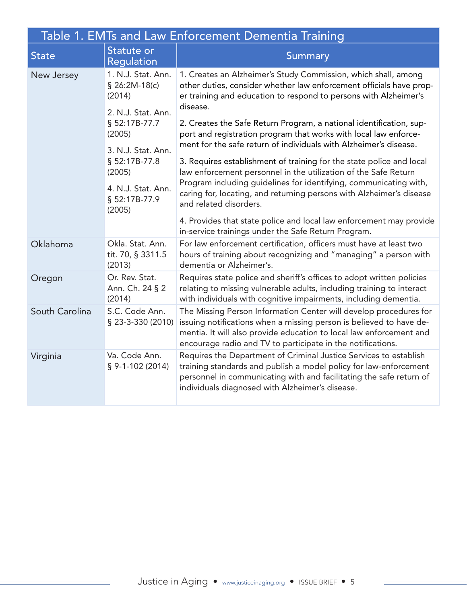| Table 1. EMTs and Law Enforcement Dementia Training |                                                 |                                                                                                                                                                                                                                                                                                                                                                                                                                                                                                                                                                                                                                                                                                                                                         |  |  |
|-----------------------------------------------------|-------------------------------------------------|---------------------------------------------------------------------------------------------------------------------------------------------------------------------------------------------------------------------------------------------------------------------------------------------------------------------------------------------------------------------------------------------------------------------------------------------------------------------------------------------------------------------------------------------------------------------------------------------------------------------------------------------------------------------------------------------------------------------------------------------------------|--|--|
| <b>State</b>                                        | Statute or<br>Regulation                        | <b>Summary</b>                                                                                                                                                                                                                                                                                                                                                                                                                                                                                                                                                                                                                                                                                                                                          |  |  |
| New Jersey                                          | 1. N.J. Stat. Ann.<br>$$26:2M-18(c)$<br>(2014)  | 1. Creates an Alzheimer's Study Commission, which shall, among<br>other duties, consider whether law enforcement officials have prop-<br>er training and education to respond to persons with Alzheimer's<br>disease.<br>2. Creates the Safe Return Program, a national identification, sup-<br>port and registration program that works with local law enforce-<br>ment for the safe return of individuals with Alzheimer's disease.<br>3. Requires establishment of training for the state police and local<br>law enforcement personnel in the utilization of the Safe Return<br>Program including guidelines for identifying, communicating with,<br>caring for, locating, and returning persons with Alzheimer's disease<br>and related disorders. |  |  |
|                                                     | 2. N.J. Stat. Ann.<br>§ 52:17B-77.7<br>(2005)   |                                                                                                                                                                                                                                                                                                                                                                                                                                                                                                                                                                                                                                                                                                                                                         |  |  |
|                                                     | 3. N.J. Stat. Ann.<br>§ 52:17B-77.8<br>(2005)   |                                                                                                                                                                                                                                                                                                                                                                                                                                                                                                                                                                                                                                                                                                                                                         |  |  |
|                                                     | 4. N.J. Stat. Ann.<br>§ 52:17B-77.9<br>(2005)   |                                                                                                                                                                                                                                                                                                                                                                                                                                                                                                                                                                                                                                                                                                                                                         |  |  |
|                                                     |                                                 | 4. Provides that state police and local law enforcement may provide<br>in-service trainings under the Safe Return Program.                                                                                                                                                                                                                                                                                                                                                                                                                                                                                                                                                                                                                              |  |  |
| Oklahoma                                            | Okla. Stat. Ann.<br>tit. 70, § 3311.5<br>(2013) | For law enforcement certification, officers must have at least two<br>hours of training about recognizing and "managing" a person with<br>dementia or Alzheimer's.                                                                                                                                                                                                                                                                                                                                                                                                                                                                                                                                                                                      |  |  |
| Oregon                                              | Or. Rev. Stat.<br>Ann. Ch. 24 § 2<br>(2014)     | Requires state police and sheriff's offices to adopt written policies<br>relating to missing vulnerable adults, including training to interact<br>with individuals with cognitive impairments, including dementia.                                                                                                                                                                                                                                                                                                                                                                                                                                                                                                                                      |  |  |
| South Carolina                                      | S.C. Code Ann.<br>§ 23-3-330 (2010)             | The Missing Person Information Center will develop procedures for<br>issuing notifications when a missing person is believed to have de-<br>mentia. It will also provide education to local law enforcement and<br>encourage radio and TV to participate in the notifications.                                                                                                                                                                                                                                                                                                                                                                                                                                                                          |  |  |
| Virginia                                            | Va. Code Ann.<br>$§$ 9-1-102 (2014)             | Requires the Department of Criminal Justice Services to establish<br>training standards and publish a model policy for law-enforcement<br>personnel in communicating with and facilitating the safe return of<br>individuals diagnosed with Alzheimer's disease.                                                                                                                                                                                                                                                                                                                                                                                                                                                                                        |  |  |